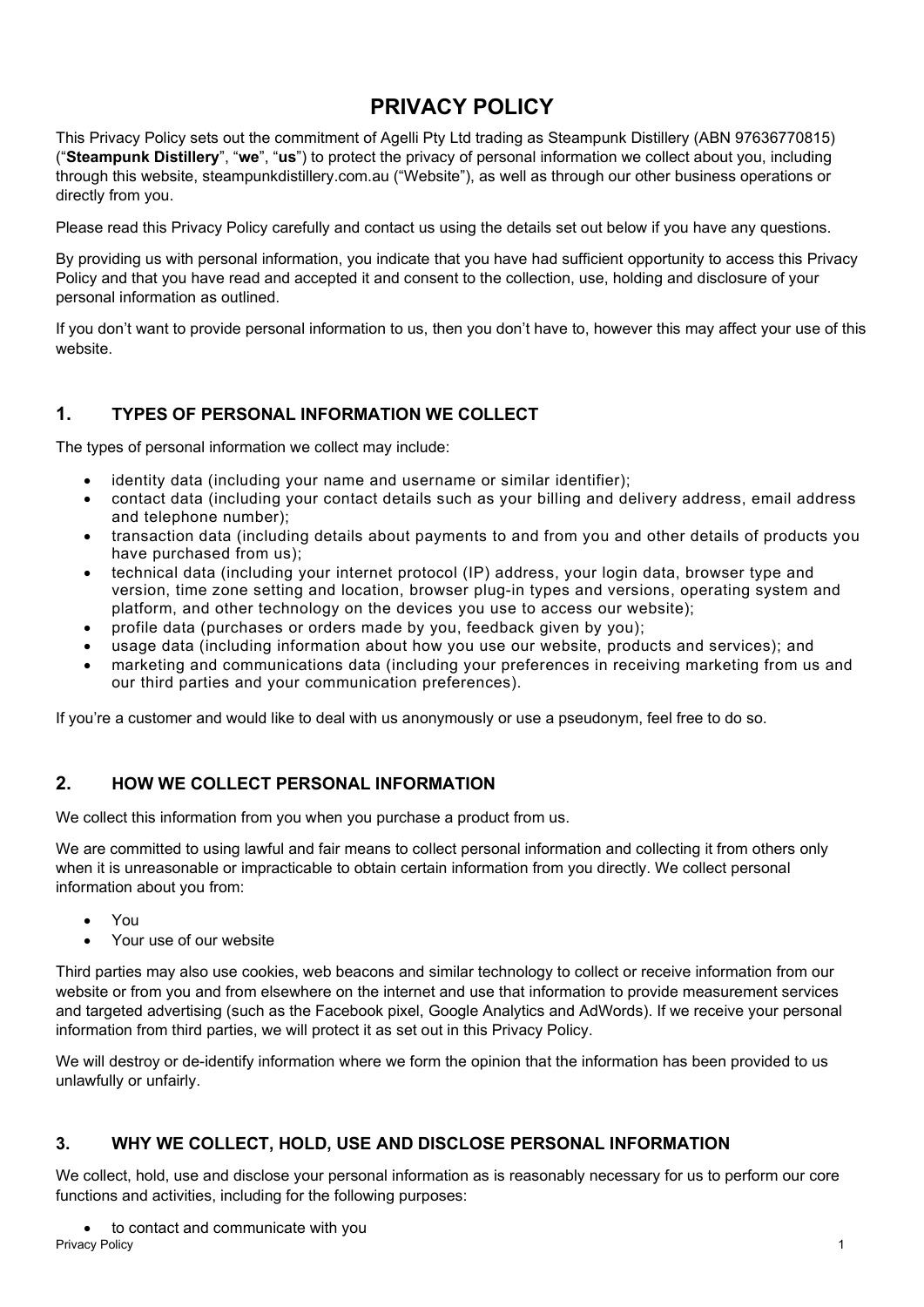# **PRIVACY POLICY**

This Privacy Policy sets out the commitment of Agelli Pty Ltd trading as Steampunk Distillery (ABN 97636770815) ("**Steampunk Distillery**", "**we**", "**us**") to protect the privacy of personal information we collect about you, including through this website, steampunkdistillery.com.au ("Website"), as well as through our other business operations or directly from you.

Please read this Privacy Policy carefully and contact us using the details set out below if you have any questions.

By providing us with personal information, you indicate that you have had sufficient opportunity to access this Privacy Policy and that you have read and accepted it and consent to the collection, use, holding and disclosure of your personal information as outlined.

If you don't want to provide personal information to us, then you don't have to, however this may affect your use of this website.

# **1. TYPES OF PERSONAL INFORMATION WE COLLECT**

The types of personal information we collect may include:

- identity data (including your name and username or similar identifier);
- contact data (including your contact details such as your billing and delivery address, email address and telephone number);
- transaction data (including details about payments to and from you and other details of products you have purchased from us);
- technical data (including your internet protocol (IP) address, your login data, browser type and version, time zone setting and location, browser plug-in types and versions, operating system and platform, and other technology on the devices you use to access our website);
- profile data (purchases or orders made by you, feedback given by you);
- usage data (including information about how you use our website, products and services); and
- marketing and communications data (including your preferences in receiving marketing from us and our third parties and your communication preferences).

If you're a customer and would like to deal with us anonymously or use a pseudonym, feel free to do so.

## **2. HOW WE COLLECT PERSONAL INFORMATION**

We collect this information from you when you purchase a product from us.

We are committed to using lawful and fair means to collect personal information and collecting it from others only when it is unreasonable or impracticable to obtain certain information from you directly. We collect personal information about you from:

- You
- Your use of our website

Third parties may also use cookies, web beacons and similar technology to collect or receive information from our website or from you and from elsewhere on the internet and use that information to provide measurement services and targeted advertising (such as the Facebook pixel, Google Analytics and AdWords). If we receive your personal information from third parties, we will protect it as set out in this Privacy Policy.

We will destroy or de-identify information where we form the opinion that the information has been provided to us unlawfully or unfairly.

#### **3. WHY WE COLLECT, HOLD, USE AND DISCLOSE PERSONAL INFORMATION**

We collect, hold, use and disclose your personal information as is reasonably necessary for us to perform our core functions and activities, including for the following purposes:

• to contact and communicate with you<br>Privacy Policy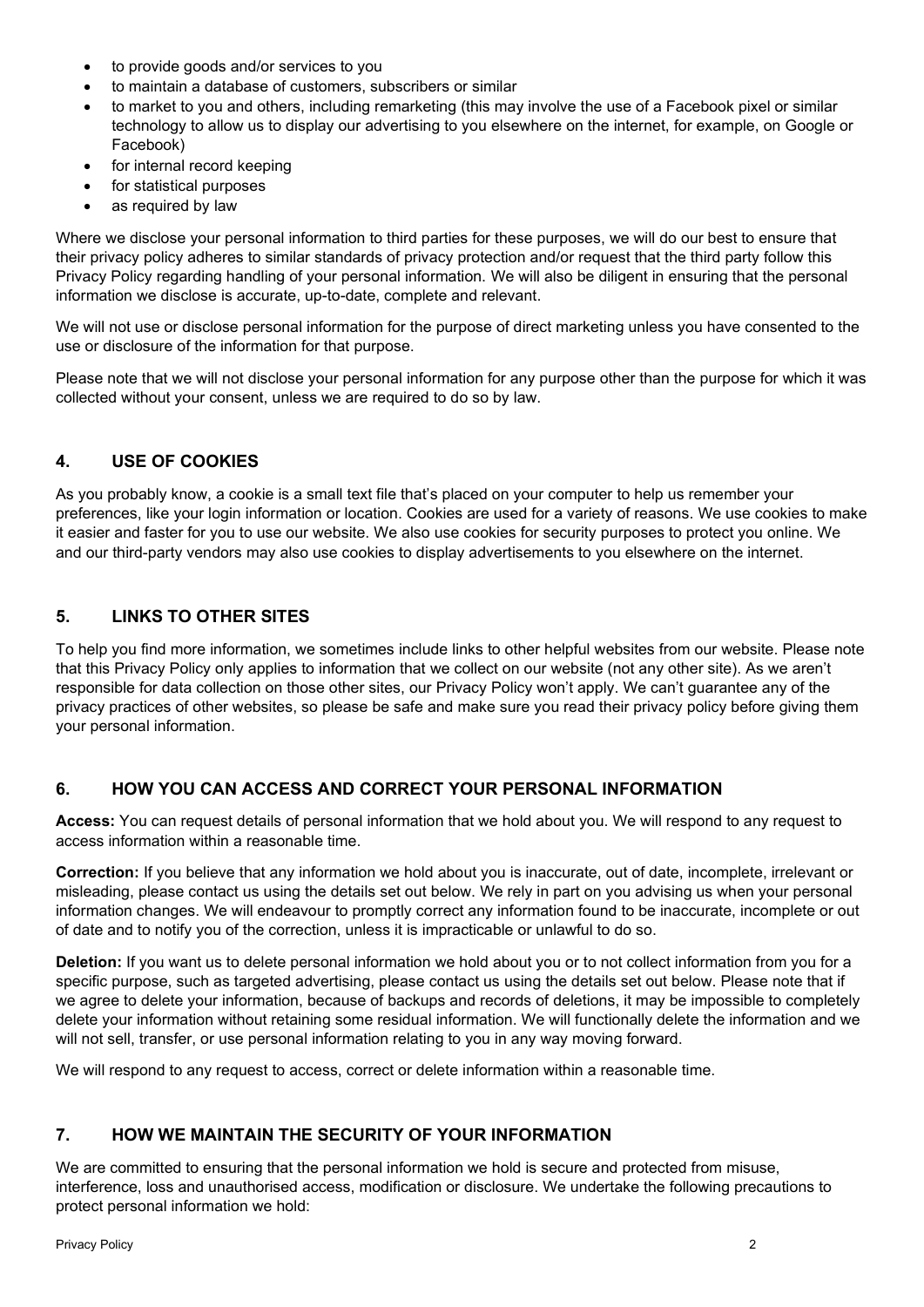- to provide goods and/or services to you
- to maintain a database of customers, subscribers or similar
- to market to you and others, including remarketing (this may involve the use of a Facebook pixel or similar technology to allow us to display our advertising to you elsewhere on the internet, for example, on Google or Facebook)
- for internal record keeping
- for statistical purposes
- as required by law

Where we disclose your personal information to third parties for these purposes, we will do our best to ensure that their privacy policy adheres to similar standards of privacy protection and/or request that the third party follow this Privacy Policy regarding handling of your personal information. We will also be diligent in ensuring that the personal information we disclose is accurate, up-to-date, complete and relevant.

We will not use or disclose personal information for the purpose of direct marketing unless you have consented to the use or disclosure of the information for that purpose.

Please note that we will not disclose your personal information for any purpose other than the purpose for which it was collected without your consent, unless we are required to do so by law.

## **4. USE OF COOKIES**

As you probably know, a cookie is a small text file that's placed on your computer to help us remember your preferences, like your login information or location. Cookies are used for a variety of reasons. We use cookies to make it easier and faster for you to use our website. We also use cookies for security purposes to protect you online. We and our third-party vendors may also use cookies to display advertisements to you elsewhere on the internet.

## **5. LINKS TO OTHER SITES**

To help you find more information, we sometimes include links to other helpful websites from our website. Please note that this Privacy Policy only applies to information that we collect on our website (not any other site). As we aren't responsible for data collection on those other sites, our Privacy Policy won't apply. We can't guarantee any of the privacy practices of other websites, so please be safe and make sure you read their privacy policy before giving them your personal information.

#### **6. HOW YOU CAN ACCESS AND CORRECT YOUR PERSONAL INFORMATION**

**Access:** You can request details of personal information that we hold about you. We will respond to any request to access information within a reasonable time.

**Correction:** If you believe that any information we hold about you is inaccurate, out of date, incomplete, irrelevant or misleading, please contact us using the details set out below. We rely in part on you advising us when your personal information changes. We will endeavour to promptly correct any information found to be inaccurate, incomplete or out of date and to notify you of the correction, unless it is impracticable or unlawful to do so.

**Deletion:** If you want us to delete personal information we hold about you or to not collect information from you for a specific purpose, such as targeted advertising, please contact us using the details set out below. Please note that if we agree to delete your information, because of backups and records of deletions, it may be impossible to completely delete your information without retaining some residual information. We will functionally delete the information and we will not sell, transfer, or use personal information relating to you in any way moving forward.

We will respond to any request to access, correct or delete information within a reasonable time.

#### **7. HOW WE MAINTAIN THE SECURITY OF YOUR INFORMATION**

We are committed to ensuring that the personal information we hold is secure and protected from misuse, interference, loss and unauthorised access, modification or disclosure. We undertake the following precautions to protect personal information we hold: